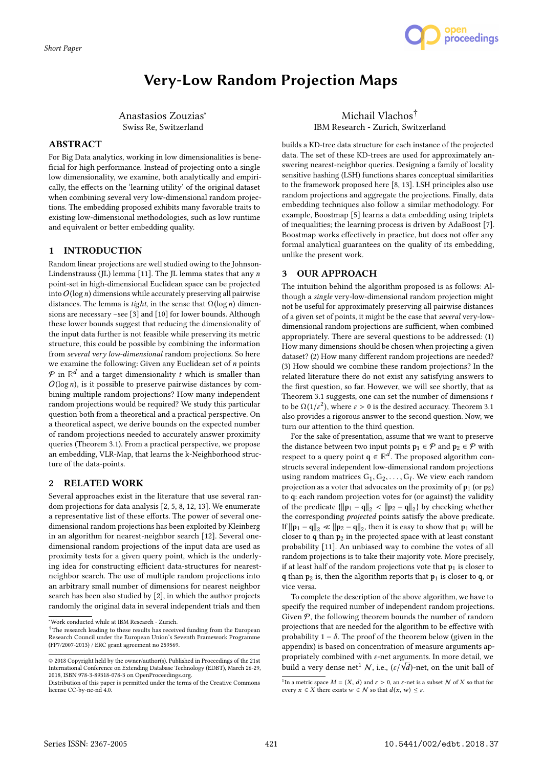

# Very-Low Random Projection Maps

Anastasios Zouzias<sup>∗</sup> Swiss Re, Switzerland

# ABSTRACT

For Big Data analytics, working in low dimensionalities is beneficial for high performance. Instead of projecting onto a single low dimensionality, we examine, both analytically and empirically, the effects on the 'learning utility' of the original dataset when combining several very low-dimensional random projections. The embedding proposed exhibits many favorable traits to existing low-dimensional methodologies, such as low runtime and equivalent or better embedding quality.

## 1 INTRODUCTION

Random linear projections are well studied owing to the Johnson-Lindenstrauss (JL) lemma [11]. The JL lemma states that any  $n$ point-set in high-dimensional Euclidean space can be projected into  $O(\log n)$  dimensions while accurately preserving all pairwise distances. The lemma is *tight*, in the sense that  $\Omega(\log n)$  dimensions are necessary –see [3] and [10] for lower bounds. Although these lower bounds suggest that reducing the dimensionality of the input data further is not feasible while preserving its metric structure, this could be possible by combining the information from several very low-dimensional random projections. So here we examine the following: Given any Euclidean set of  $n$  points  $P$  in  $\mathbb{R}^d$  and a target dimensionality t which is smaller than  $Q(\log n)$  is it possible to preserve poirwise distances by com- $O(\log n)$ , is it possible to preserve pairwise distances by combining multiple random projections? How many independent random projections would be required? We study this particular question both from a theoretical and a practical perspective. On a theoretical aspect, we derive bounds on the expected number of random projections needed to accurately answer proximity queries (Theorem 3.1). From a practical perspective, we propose an embedding, VLR-Map, that learns the k-Neighborhood structure of the data-points.

# 2 RELATED WORK

Several approaches exist in the literature that use several random projections for data analysis [2, 5, 8, 12, 13]. We enumerate a representative list of these efforts. The power of several onedimensional random projections has been exploited by Kleinberg in an algorithm for nearest-neighbor search [12]. Several onedimensional random projections of the input data are used as proximity tests for a given query point, which is the underlying idea for constructing efficient data-structures for nearestneighbor search. The use of multiple random projections into an arbitrary small number of dimensions for nearest neighbor search has been also studied by [2], in which the author projects randomly the original data in several independent trials and then

Michail Vlachos† IBM Research - Zurich, Switzerland

builds a KD-tree data structure for each instance of the projected data. The set of these KD-trees are used for approximately answering nearest-neighbor queries. Designing a family of locality sensitive hashing (LSH) functions shares conceptual similarities to the framework proposed here [8, 13]. LSH principles also use random projections and aggregate the projections. Finally, data embedding techniques also follow a similar methodology. For example, Boostmap [5] learns a data embedding using triplets of inequalities; the learning process is driven by AdaBoost [7]. Boostmap works effectively in practice, but does not offer any formal analytical guarantees on the quality of its embedding, unlike the present work.

# 3 OUR APPROACH

The intuition behind the algorithm proposed is as follows: Although a single very-low-dimensional random projection might not be useful for approximately preserving all pairwise distances of a given set of points, it might be the case that several very-lowdimensional random projections are sufficient, when combined appropriately. There are several questions to be addressed: (1) How many dimensions should be chosen when projecting a given dataset? (2) How many different random projections are needed? (3) How should we combine these random projections? In the related literature there do not exist any satisfying answers to the first question, so far. However, we will see shortly, that as Theorem 3.1 suggests, one can set the number of dimensions  $t$ to be  $\Omega(1/\varepsilon^2)$ , where  $\varepsilon > 0$  is the desired accuracy. Theorem 3.1 also provides a rigorous answer to the second question. Now, we turn our attention to the third question.

For the sake of presentation, assume that we want to preserve the distance between two input points  $p_1 \in \mathcal{P}$  and  $p_2 \in \mathcal{P}$  with respect to a query point  $q \in \mathbb{R}^d$ . The proposed algorithm constructs several independent low-dimensional random projections using random matrices  $G_1, G_2, \ldots, G_l$ . We view each random<br>projection as a voter that advocates on the provinity of  $p_i$  (or  $p_0$ ) projection as a voter that advocates on the proximity of  $p_1$  (or  $p_2$ ) to q: each random projection votes for (or against) the validity  $\frac{1}{2}$  of the predicate  $\left\{ \left\| \mathbf{p}_1 - \mathbf{q} \right\|_2 \right\}$   $\leq \left\| \mathbf{p}_2 - \mathbf{q} \right\|_2$ ) by checking whether the corresponding *projected* points satisfy the above predicate. If  $\|\mathbf{p}_1 - \mathbf{q}\|_2 \ll \|\mathbf{p}_2 - \mathbf{q}\|_2$ , then it is easy to show that  $\mathbf{p}_1$  will be closer to  $q$  than  $p_2$  in the projected space with at least constant probability [11]. An unbiased way to combine the votes of all random projections is to take their majority vote. More precisely, if at least half of the random projections vote that  $p_1$  is closer to q than  $p_2$  is, then the algorithm reports that  $p_1$  is closer to q, or vice versa.

To complete the description of the above algorithm, we have to specify the required number of independent random projections. Given  $P$ , the following theorem bounds the number of random projections that are needed for the algorithm to be effective with probability  $1 - \delta$ . The proof of the theorem below (given in the appendix) is based on concentration of measure arguments appropriately combined with  $\varepsilon$ -net arguments. In more detail, we<br>huild a vany dance not  $\Lambda$  i.e.  $\left(\frac{\alpha}{\Lambda}\right)$  not, on the unit hall of build a very dense net<sup>1</sup> *N*, i.e.,  $(\varepsilon/\sqrt{d})$ -net, on the unit ball of

<sup>∗</sup>Work conducted while at IBM Research - Zurich.

<sup>†</sup>The research leading to these results has received funding from the European Research Council under the European Union's Seventh Framework Programme (FP7/2007-2013) / ERC grant agreement no 259569.

<sup>©</sup> 2018 Copyright held by the owner/author(s). Published in Proceedings of the 21st International Conference on Extending Database Technology (EDBT), March 26-29, 2018, ISBN 978-3-89318-078-3 on OpenProceedings.org.

Distribution of this paper is permitted under the terms of the Creative Commons license CC-by-nc-nd 4.0.

<sup>&</sup>lt;sup>1</sup>In a metric space  $M = (X, d)$  and  $\varepsilon > 0$ , an  $\varepsilon$ -net is a subset N of X so that for every  $x \in X$  there exists  $w \in N$  so that  $d(x, w) \le \varepsilon$ every  $x \in X$  there exists  $w \in N$  so that  $d(x, w) \leq \varepsilon$ .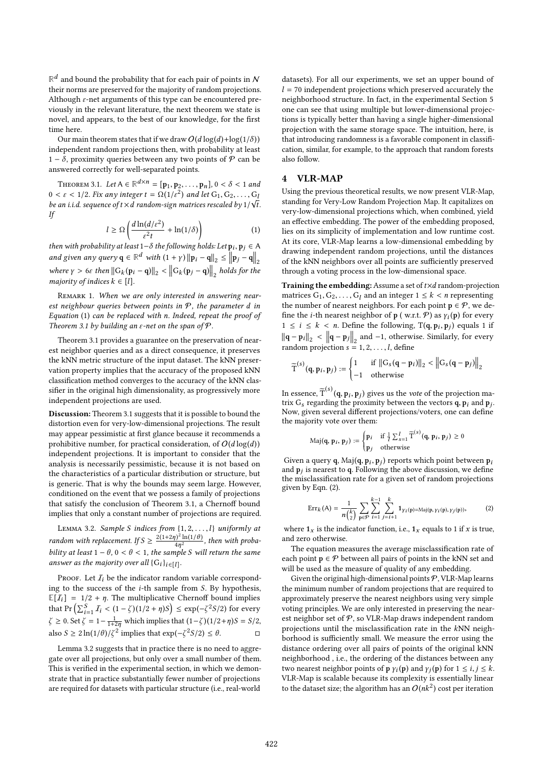$\mathbb{R}^d$  and bound the probability that for each pair of points in  $\mathcal N$ their norms are preserved for the majority of random projections. Although  $\varepsilon$ -net arguments of this type can be encountered previously in the relevant literature, the next theorem we state is novel, and appears, to the best of our knowledge, for the first time here.

Our main theorem states that if we draw  $O(d \log(d) + \log(1/\delta))$ independent random projections then, with probability at least 1 –  $\delta$ , proximity queries between any two points of  $P$  can be answered correctly for well-separated points.

THEOREM 3.1. Let  $A \in \mathbb{R}^{d \times n} = [\mathbf{p}_1, \mathbf{p}_2, \dots, \mathbf{p}_n]$ ,  $0 < \delta < 1$  and  $c \leq 1/2$  Fix any integer  $t = O(1/c^2)$  and let  $C_1$ ,  $C_2$  $0 < \varepsilon < 1/2$ . Fix any integer  $t = \Omega(1/\varepsilon^2)$  and let  $G_1, G_2, \ldots, G_k$ <br>be an i.i.d. sequence of  $t \times d$  random-sign matrices rescaled by 1/5/1 be an i.i.d. sequence of  $t \times d$  random-sign matrices rescaled by 1/  $\sqrt{t}$ .<br>If If

$$
l \ge \Omega \left( \frac{d \ln(d/\varepsilon^2)}{\varepsilon^2 t} + \ln(1/\delta) \right) \tag{1}
$$

then with probability at least  $1-\delta$  the following holds: Let  $p_i, p_j \in A$ and given any query  $q \in \mathbb{R}^d$  with  $(1 + \gamma) ||p_i - q||_2 \le ||p_j - q||_2$ where  $\gamma > 6\varepsilon$  then  $\|G_k(\mathbf{p}_i - \mathbf{q})\|_2 < \|G_k(\mathbf{p}_j - \mathbf{q})\|_2$  holds for the majority of indices  $k \in [l]$ .

REMARK 1. When we are only interested in answering nearest neighbour queries between points in  $P$ , the parameter d in Equation (1) can be replaced with n. Indeed, repeat the proof of Theorem 3.1 by building an  $\varepsilon$ -net on the span of  $\mathcal P$ .

Theorem 3.1 provides a guarantee on the preservation of nearest neighbor queries and as a direct consequence, it preserves the kNN metric structure of the input dataset. The kNN preservation property implies that the accuracy of the proposed kNN classification method converges to the accuracy of the kNN classifier in the original high dimensionality, as progressively more independent projections are used.

Discussion: Theorem 3.1 suggests that it is possible to bound the distortion even for very-low-dimensional projections. The result may appear pessimistic at first glance because it recommends a prohibitive number, for practical consideration, of  $O(d \log(d))$ independent projections. It is important to consider that the analysis is necessarily pessimistic, because it is not based on the characteristics of a particular distribution or structure, but is generic. That is why the bounds may seem large. However, conditioned on the event that we possess a family of projections that satisfy the conclusion of Theorem 3.1, a Chernoff bound implies that only a constant number of projections are required.

LEMMA 3.2. Sample S indices from  $\{1, 2, ..., l\}$  uniformly at random with replacement. If  $S \geq \frac{2(1+2\eta)^2 \ln(1/\theta)}{4\eta^2}$  $\frac{4\eta^2}{4\eta^2}$ , then with proba-<br>aple S will return the same bility at least  $1 - \theta$ ,  $0 < \theta < 1$ , the sample S will return the same<br>answer as the majority over all  $G_1$ . answer as the majority over all  $\{G_i\}_{i \in [l]}$ .

PROOF. Let  $I_i$  be the indicator random variable corresponding to the success of the i-th sample from S. By hypothesis,  $\mathbb{E}[I_i] = 1/2 + \eta$ . The multiplicative Chernoff bound implies that Pr  $\left(\sum_{i=1}^{S} I_i \leq (1-\zeta)(1/2+\eta)S\right) \leq \exp(-\zeta^2 S/2)$  for every  $z > 0$ . Set  $z = 1$  in which implies that  $(1-\zeta)(1/2 + \eta)S = S/2$  $\zeta \ge 0$ . Set  $\zeta = 1 - \frac{1}{1+2\eta}$  which implies that  $(1-\zeta)(1/2+\eta)S = S/2$ , also  $S \ge 2 \ln(1/\theta) / \zeta^2$  implies that  $\exp(-\zeta^2 S/2) \le \theta$ . □

Lemma 3.2 suggests that in practice there is no need to aggregate over all projections, but only over a small number of them. This is verified in the experimental section, in which we demonstrate that in practice substantially fewer number of projections are required for datasets with particular structure (i.e., real-world

datasets). For all our experiments, we set an upper bound of  $l = 70$  independent projections which preserved accurately the neighborhood structure. In fact, in the experimental Section 5 one can see that using multiple but lower-dimensional projections is typically better than having a single higher-dimensional projection with the same storage space. The intuition, here, is that introducing randomness is a favorable component in classification, similar, for example, to the approach that random forests also follow.

## 4 VLR-MAP

Using the previous theoretical results, we now present VLR-Map, standing for Very-Low Random Projection Map. It capitalizes on very-low-dimensional projections which, when combined, yield an effective embedding. The power of the embedding proposed, lies on its simplicity of implementation and low runtime cost. At its core, VLR-Map learns a low-dimensional embedding by drawing independent random projections, until the distances of the kNN neighbors over all points are sufficiently preserved through a voting process in the low-dimensional space.

Training the embedding: Assume a set of  $t \times d$  random-projection matrices  $G_1, G_2, \ldots, G_l$  and an integer  $1 \leq k < n$  representing the number of nearest neighbors. For each point  $p \in \mathcal{P}$ , we define the *i*-th nearest neighbor of **p** (w.r.t.  $\hat{P}$ ) as  $\gamma_i(\mathbf{p})$  for every  $1 \leq i \leq k < n$ . Define the following,  $T(q, p_i, p_j)$  equals 1 if  $\|\mathbf{q} - \mathbf{p}_i\|_2 < \|\mathbf{q} - \mathbf{p}_j\|_2$  and -1, otherwise. Similarly, for every random projection  $s = 1, 2, \ldots, l$ , define

$$
\widetilde{\mathrm{T}}^{(s)}(\mathbf{q},\mathbf{p}_i,\mathbf{p}_j):=\begin{cases}1 & \text{if }\|\mathbf{G}_s(\mathbf{q}-\mathbf{p}_i)\|_2 < \left\|\mathbf{G}_s(\mathbf{q}-\mathbf{p}_j)\right\|_2\\-1 & \text{otherwise}\end{cases}
$$

In essence,  $\tilde{T}^{(s)}(q, p_i, p_j)$  gives us the *vote* of the projection matrix  $G_s$  regarding the proximity between the vectors **q p**<sub>i</sub> and **p**<sub>i</sub> trix  $G_s$  regarding the proximity between the vectors  $\dot{\mathbf{q}}$ ,  $\dot{\mathbf{p}}_i$  and  $\dot{\mathbf{p}}_j$ .<br>Now given several different projections/voters one can define Now, given several different projections/voters, one can define the majority vote over them:

$$
\text{Maj}(\mathbf{q}, \mathbf{p}_i, \mathbf{p}_j) := \begin{cases} \mathbf{p}_i & \text{if } \frac{1}{l} \sum_{s=1}^l \widetilde{\mathbf{T}}^{(s)}(\mathbf{q}, \mathbf{p}_i, \mathbf{p}_j) \ge 0 \\ \mathbf{p}_j & \text{otherwise} \end{cases}
$$

Given a query q,  $\text{Maj}(\mathbf{q}, \mathbf{p}_i, \mathbf{p}_j)$  reports which point between  $\mathbf{p}_i$ <br>and  $\mathbf{n}_i$  is nearest to  $\mathbf{q}_i$ . Following the above discussion, we define and  $\mathbf{p}_j$  is nearest to q. Following the above discussion, we define<br>the misclassification rate for a given set of random projections the misclassification rate for a given set of random projections given by Eqn. (2).

$$
Err_k(A) = \frac{1}{n{k \choose 2}} \sum_{p \in \mathcal{P}} \sum_{i=1}^{k-1} \sum_{j=i+1}^{k} \mathbf{1}_{\gamma_i(p) = \text{Maj}(p, \gamma_i(p), \gamma_j(p))},
$$
 (2)

where  $1_x$  is the indicator function, i.e.,  $1_x$  equals to 1 if x is true, and zero otherwise.

The equation measures the average misclassification rate of each point  $p \in \mathcal{P}$  between all pairs of points in the kNN set and will be used as the measure of quality of any embedding.

Given the original high-dimensional points  $P$ , VLR-Map learns the minimum number of random projections that are required to approximately preserve the nearest neighbors using very simple voting principles. We are only interested in preserving the nearest neighbor set of  $P$ , so VLR-Map draws independent random projections until the misclassification rate in the kNN neighborhood is sufficiently small. We measure the error using the distance ordering over all pairs of points of the original kNN neighborhood , i.e., the ordering of the distances between any two nearest neighbor points of **p**  $\gamma_i(\mathbf{p})$  and  $\gamma_j(\mathbf{p})$  for  $1 \le i, j \le k$ .<br>VI R-Man is scalable because its complexity is essentially linear VLR-Map is scalable because its complexity is essentially linear to the dataset size; the algorithm has an  $O(nk^2)$  cost per iteration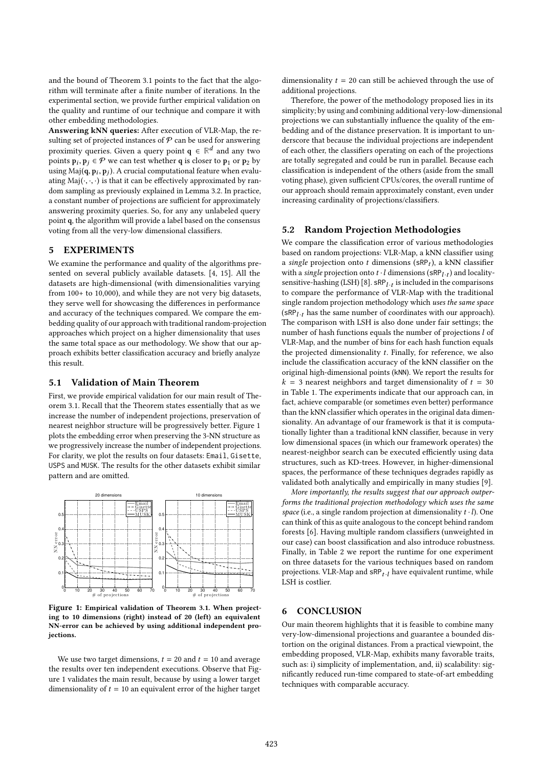and the bound of Theorem 3.1 points to the fact that the algorithm will terminate after a finite number of iterations. In the experimental section, we provide further empirical validation on the quality and runtime of our technique and compare it with other embedding methodologies.

Answering kNN queries: After execution of VLR-Map, the resulting set of projected instances of  $P$  can be used for answering proximity queries. Given a query point  $q \in \mathbb{R}^d$  and any two points  $\mathbf{p}_i, \mathbf{p}_j \in \mathcal{P}$  we can test whether **q** is closer to  $\mathbf{p}_1$  or  $\mathbf{p}_2$  by using Maj( $\mathbf{a} \cdot \mathbf{n}$ ). A crucial computational feature when evaluate using  $\overline{Maj(q, p_i, p_j)}$ . A crucial computational feature when evaluation  $Maj($ ,  $)$  is that it can be effectively approximated by range ating  $\text{Maj}(\cdot, \cdot, \cdot)$  is that it can be effectively approximated by random sampling as previously explained in Lemma 3.2. In practice, a constant number of projections are sufficient for approximately answering proximity queries. So, for any any unlabeled query point q, the algorithm will provide a label based on the consensus voting from all the very-low dimensional classifiers.

## 5 EXPERIMENTS

We examine the performance and quality of the algorithms presented on several publicly available datasets. [4, 15]. All the datasets are high-dimensional (with dimensionalities varying from 100+ to 10,000), and while they are not very big datasets, they serve well for showcasing the differences in performance and accuracy of the techniques compared. We compare the embedding quality of our approach with traditional random-projection approaches which project on a higher dimensionality that uses the same total space as our methodology. We show that our approach exhibits better classification accuracy and briefly analyze this result.

### 5.1 Validation of Main Theorem

First, we provide empirical validation for our main result of Theorem 3.1. Recall that the Theorem states essentially that as we increase the number of independent projections, preservation of nearest neighbor structure will be progressively better. Figure 1 plots the embedding error when preserving the 3-NN structure as we progressively increase the number of independent projections. For clarity, we plot the results on four datasets: Email, Gisette, USPS and MUSK. The results for the other datasets exhibit similar pattern and are omitted.



Figure 1: Empirical validation of Theorem 3.1. When projecting to 10 dimensions (right) instead of 20 (left) an equivalent NN-error can be achieved by using additional independent projections.

We use two target dimensions,  $t = 20$  and  $t = 10$  and average the results over ten independent executions. Observe that Figure 1 validates the main result, because by using a lower target dimensionality of  $t = 10$  an equivalent error of the higher target dimensionality  $t = 20$  can still be achieved through the use of additional projections.

Therefore, the power of the methodology proposed lies in its simplicity; by using and combining additional very-low-dimensional projections we can substantially influence the quality of the embedding and of the distance preservation. It is important to underscore that because the individual projections are independent of each other, the classifiers operating on each of the projections are totally segregated and could be run in parallel. Because each classification is independent of the others (aside from the small voting phase), given sufficient CPUs/cores, the overall runtime of our approach should remain approximately constant, even under increasing cardinality of projections/classifiers.

#### 5.2 Random Projection Methodologies

We compare the classification error of various methodologies based on random projections: VLR-Map, a kNN classifier using a *single* projection onto t dimensions  $(sRP_t)$ , a kNN classifier<br>with a single projection onto t *l* dimensions  $(sPP_t)$  and locality. with a *single* projection onto  $t \cdot l$  dimensions  $(\text{SRP}_{l \cdot t})$  and locality-<br>sensitive-bashing (LSH) [8], sPP, , is included in the comparisons sensitive-hashing (LSH) [8].  $\textsf{SRP}_{l \cdot t}$  is included in the comparisons sensitive-nashing (LSH) [8].  $\texttt{SRP}_{l \cdot t}$  is included in the comparisons<br>to compare the performance of VLR-Map with the traditional single random projection methodology which uses the same space  $(\text{SRP}_{l \cdot t} \text{ has the same number of coordinates with our approach}).$ <br>The comparison with LSH is also done under fair settings: the The comparison with LSH is also done under fair settings; the number of hash functions equals the number of projections l of VLR-Map, and the number of bins for each hash function equals the projected dimensionality  $t$ . Finally, for reference, we also include the classification accuracy of the kNN classifier on the original high-dimensional points (kNN). We report the results for  $k = 3$  nearest neighbors and target dimensionality of  $t = 30$ in Table 1. The experiments indicate that our approach can, in fact, achieve comparable (or sometimes even better) performance than the kNN classifier which operates in the original data dimensionality. An advantage of our framework is that it is computationally lighter than a traditional kNN classifier, because in very low dimensional spaces (in which our framework operates) the nearest-neighbor search can be executed efficiently using data structures, such as KD-trees. However, in higher-dimensional spaces, the performance of these techniques degrades rapidly as validated both analytically and empirically in many studies [9].

More importantly, the results suggest that our approach outperforms the traditional projection methodology which uses the same space (i.e., a single random projection at dimensionality  $t \cdot l$ ). One can think of this as quite analogous to the concept behind random forests [6]. Having multiple random classifiers (unweighted in our case) can boost classification and also introduce robustness. Finally, in Table 2 we report the runtime for one experiment on three datasets for the various techniques based on random projections. VLR-Map and  $\textsf{SRP}_{t-l}$  have equivalent runtime, while I SH is costlier LSH is costlier.

## 6 CONCLUSION

Our main theorem highlights that it is feasible to combine many very-low-dimensional projections and guarantee a bounded distortion on the original distances. From a practical viewpoint, the embedding proposed, VLR-Map, exhibits many favorable traits, such as: i) simplicity of implementation, and, ii) scalability: significantly reduced run-time compared to state-of-art embedding techniques with comparable accuracy.